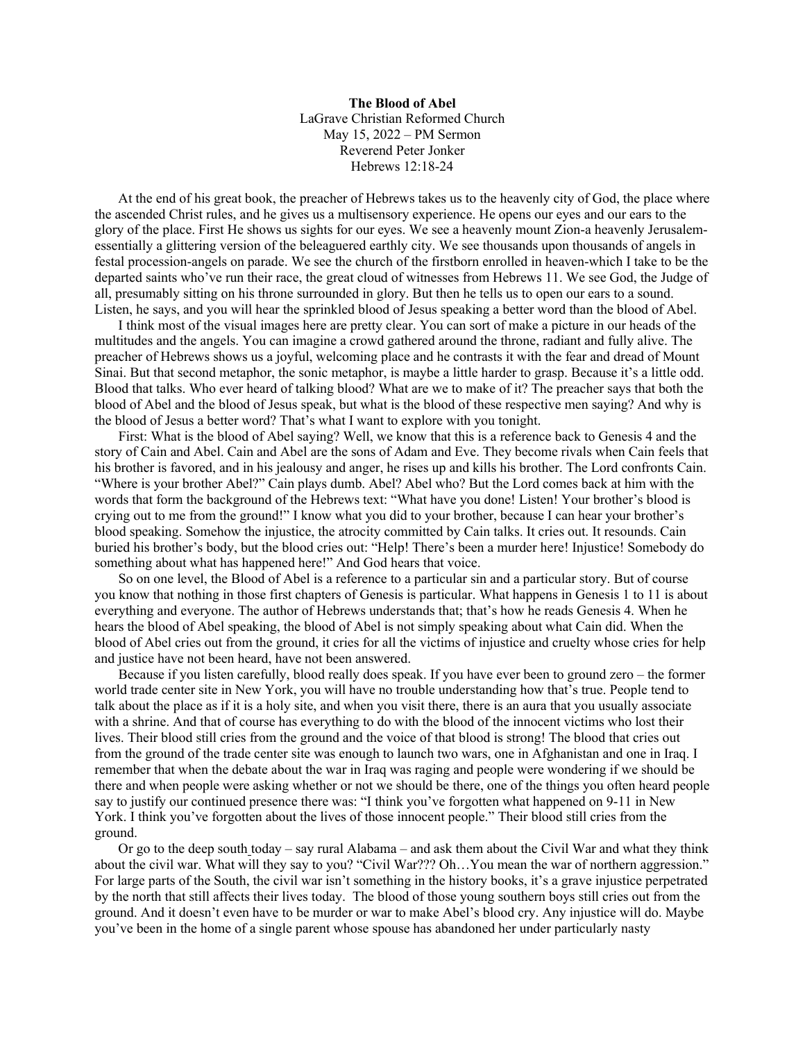**The Blood of Abel** LaGrave Christian Reformed Church May 15, 2022 – PM Sermon Reverend Peter Jonker Hebrews 12:18-24

At the end of his great book, the preacher of Hebrews takes us to the heavenly city of God, the place where the ascended Christ rules, and he gives us a multisensory experience. He opens our eyes and our ears to the glory of the place. First He shows us sights for our eyes. We see a heavenly mount Zion-a heavenly Jerusalemessentially a glittering version of the beleaguered earthly city. We see thousands upon thousands of angels in festal procession-angels on parade. We see the church of the firstborn enrolled in heaven-which I take to be the departed saints who've run their race, the great cloud of witnesses from Hebrews 11. We see God, the Judge of all, presumably sitting on his throne surrounded in glory. But then he tells us to open our ears to a sound. Listen, he says, and you will hear the sprinkled blood of Jesus speaking a better word than the blood of Abel.

I think most of the visual images here are pretty clear. You can sort of make a picture in our heads of the multitudes and the angels. You can imagine a crowd gathered around the throne, radiant and fully alive. The preacher of Hebrews shows us a joyful, welcoming place and he contrasts it with the fear and dread of Mount Sinai. But that second metaphor, the sonic metaphor, is maybe a little harder to grasp. Because it's a little odd. Blood that talks. Who ever heard of talking blood? What are we to make of it? The preacher says that both the blood of Abel and the blood of Jesus speak, but what is the blood of these respective men saying? And why is the blood of Jesus a better word? That's what I want to explore with you tonight.

First: What is the blood of Abel saying? Well, we know that this is a reference back to Genesis 4 and the story of Cain and Abel. Cain and Abel are the sons of Adam and Eve. They become rivals when Cain feels that his brother is favored, and in his jealousy and anger, he rises up and kills his brother. The Lord confronts Cain. "Where is your brother Abel?" Cain plays dumb. Abel? Abel who? But the Lord comes back at him with the words that form the background of the Hebrews text: "What have you done! Listen! Your brother's blood is crying out to me from the ground!" I know what you did to your brother, because I can hear your brother's blood speaking. Somehow the injustice, the atrocity committed by Cain talks. It cries out. It resounds. Cain buried his brother's body, but the blood cries out: "Help! There's been a murder here! Injustice! Somebody do something about what has happened here!" And God hears that voice.

So on one level, the Blood of Abel is a reference to a particular sin and a particular story. But of course you know that nothing in those first chapters of Genesis is particular. What happens in Genesis 1 to 11 is about everything and everyone. The author of Hebrews understands that; that's how he reads Genesis 4. When he hears the blood of Abel speaking, the blood of Abel is not simply speaking about what Cain did. When the blood of Abel cries out from the ground, it cries for all the victims of injustice and cruelty whose cries for help and justice have not been heard, have not been answered.

Because if you listen carefully, blood really does speak. If you have ever been to ground zero – the former world trade center site in New York, you will have no trouble understanding how that's true. People tend to talk about the place as if it is a holy site, and when you visit there, there is an aura that you usually associate with a shrine. And that of course has everything to do with the blood of the innocent victims who lost their lives. Their blood still cries from the ground and the voice of that blood is strong! The blood that cries out from the ground of the trade center site was enough to launch two wars, one in Afghanistan and one in Iraq. I remember that when the debate about the war in Iraq was raging and people were wondering if we should be there and when people were asking whether or not we should be there, one of the things you often heard people say to justify our continued presence there was: "I think you've forgotten what happened on 9-11 in New York. I think you've forgotten about the lives of those innocent people." Their blood still cries from the ground.

Or go to the deep south today – say rural Alabama – and ask them about the Civil War and what they think about the civil war. What will they say to you? "Civil War??? Oh…You mean the war of northern aggression." For large parts of the South, the civil war isn't something in the history books, it's a grave injustice perpetrated by the north that still affects their lives today. The blood of those young southern boys still cries out from the ground. And it doesn't even have to be murder or war to make Abel's blood cry. Any injustice will do. Maybe you've been in the home of a single parent whose spouse has abandoned her under particularly nasty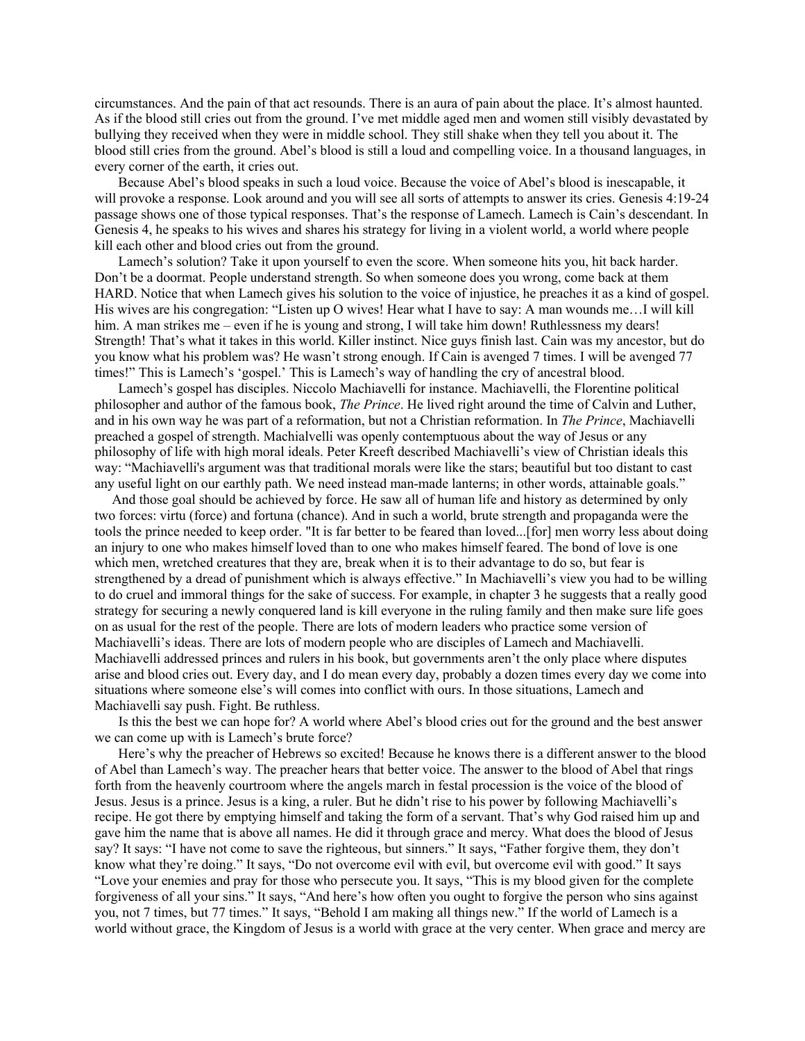circumstances. And the pain of that act resounds. There is an aura of pain about the place. It's almost haunted. As if the blood still cries out from the ground. I've met middle aged men and women still visibly devastated by bullying they received when they were in middle school. They still shake when they tell you about it. The blood still cries from the ground. Abel's blood is still a loud and compelling voice. In a thousand languages, in every corner of the earth, it cries out.

Because Abel's blood speaks in such a loud voice. Because the voice of Abel's blood is inescapable, it will provoke a response. Look around and you will see all sorts of attempts to answer its cries. Genesis 4:19-24 passage shows one of those typical responses. That's the response of Lamech. Lamech is Cain's descendant. In Genesis 4, he speaks to his wives and shares his strategy for living in a violent world, a world where people kill each other and blood cries out from the ground.

Lamech's solution? Take it upon yourself to even the score. When someone hits you, hit back harder. Don't be a doormat. People understand strength. So when someone does you wrong, come back at them HARD. Notice that when Lamech gives his solution to the voice of injustice, he preaches it as a kind of gospel. His wives are his congregation: "Listen up O wives! Hear what I have to say: A man wounds me…I will kill him. A man strikes me – even if he is young and strong, I will take him down! Ruthlessness my dears! Strength! That's what it takes in this world. Killer instinct. Nice guys finish last. Cain was my ancestor, but do you know what his problem was? He wasn't strong enough. If Cain is avenged 7 times. I will be avenged 77 times!" This is Lamech's 'gospel.' This is Lamech's way of handling the cry of ancestral blood.

Lamech's gospel has disciples. Niccolo Machiavelli for instance. Machiavelli, the Florentine political philosopher and author of the famous book, *The Prince*. He lived right around the time of Calvin and Luther, and in his own way he was part of a reformation, but not a Christian reformation. In *The Prince*, Machiavelli preached a gospel of strength. Machialvelli was openly contemptuous about the way of Jesus or any philosophy of life with high moral ideals. Peter Kreeft described Machiavelli's view of Christian ideals this way: "Machiavelli's argument was that traditional morals were like the stars; beautiful but too distant to cast any useful light on our earthly path. We need instead man-made lanterns; in other words, attainable goals."

 And those goal should be achieved by force. He saw all of human life and history as determined by only two forces: virtu (force) and fortuna (chance). And in such a world, brute strength and propaganda were the tools the prince needed to keep order. "It is far better to be feared than loved...[for] men worry less about doing an injury to one who makes himself loved than to one who makes himself feared. The bond of love is one which men, wretched creatures that they are, break when it is to their advantage to do so, but fear is strengthened by a dread of punishment which is always effective." In Machiavelli's view you had to be willing to do cruel and immoral things for the sake of success. For example, in chapter 3 he suggests that a really good strategy for securing a newly conquered land is kill everyone in the ruling family and then make sure life goes on as usual for the rest of the people. There are lots of modern leaders who practice some version of Machiavelli's ideas. There are lots of modern people who are disciples of Lamech and Machiavelli. Machiavelli addressed princes and rulers in his book, but governments aren't the only place where disputes arise and blood cries out. Every day, and I do mean every day, probably a dozen times every day we come into situations where someone else's will comes into conflict with ours. In those situations, Lamech and Machiavelli say push. Fight. Be ruthless.

Is this the best we can hope for? A world where Abel's blood cries out for the ground and the best answer we can come up with is Lamech's brute force?

Here's why the preacher of Hebrews so excited! Because he knows there is a different answer to the blood of Abel than Lamech's way. The preacher hears that better voice. The answer to the blood of Abel that rings forth from the heavenly courtroom where the angels march in festal procession is the voice of the blood of Jesus. Jesus is a prince. Jesus is a king, a ruler. But he didn't rise to his power by following Machiavelli's recipe. He got there by emptying himself and taking the form of a servant. That's why God raised him up and gave him the name that is above all names. He did it through grace and mercy. What does the blood of Jesus say? It says: "I have not come to save the righteous, but sinners." It says, "Father forgive them, they don't know what they're doing." It says, "Do not overcome evil with evil, but overcome evil with good." It says "Love your enemies and pray for those who persecute you. It says, "This is my blood given for the complete forgiveness of all your sins." It says, "And here's how often you ought to forgive the person who sins against you, not 7 times, but 77 times." It says, "Behold I am making all things new." If the world of Lamech is a world without grace, the Kingdom of Jesus is a world with grace at the very center. When grace and mercy are